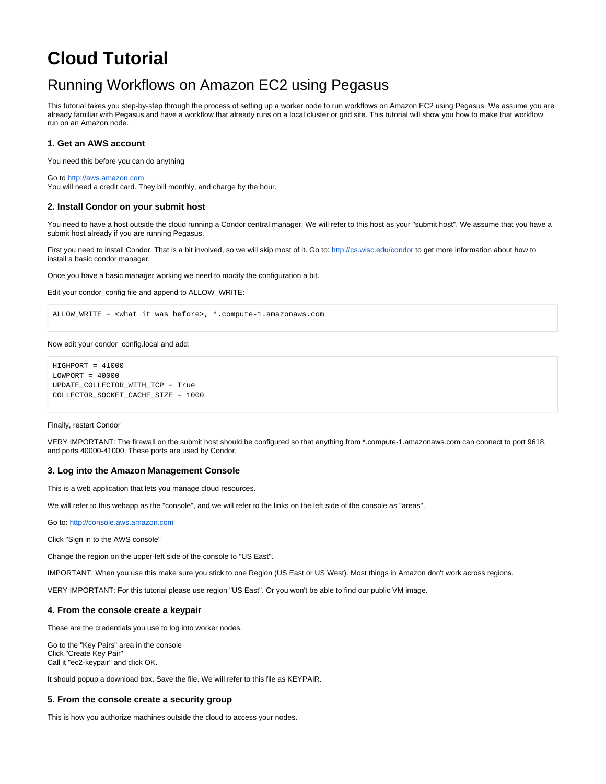# **Cloud Tutorial**

## Running Workflows on Amazon EC2 using Pegasus

This tutorial takes you step-by-step through the process of setting up a worker node to run workflows on Amazon EC2 using Pegasus. We assume you are already familiar with Pegasus and have a workflow that already runs on a local cluster or grid site. This tutorial will show you how to make that workflow run on an Amazon node.

## **1. Get an AWS account**

You need this before you can do anything

Go to<http://aws.amazon.com>

You will need a credit card. They bill monthly, and charge by the hour.

## **2. Install Condor on your submit host**

You need to have a host outside the cloud running a Condor central manager. We will refer to this host as your "submit host". We assume that you have a submit host already if you are running Pegasus.

First you need to install Condor. That is a bit involved, so we will skip most of it. Go to:<http://cs.wisc.edu/condor>to get more information about how to install a basic condor manager.

Once you have a basic manager working we need to modify the configuration a bit.

Edit your condor\_config file and append to ALLOW\_WRITE:

ALLOW\_WRITE = <what it was before>, \*.compute-1.amazonaws.com

#### Now edit your condor\_config.local and add:

```
HIGHPORT = 41000
LOWPORT = 40000UPDATE_COLLECTOR_WITH_TCP = True
COLLECTOR_SOCKET_CACHE_SIZE = 1000
```
#### Finally, restart Condor

VERY IMPORTANT: The firewall on the submit host should be configured so that anything from \*.compute-1.amazonaws.com can connect to port 9618, and ports 40000-41000. These ports are used by Condor.

#### **3. Log into the Amazon Management Console**

This is a web application that lets you manage cloud resources.

We will refer to this webapp as the "console", and we will refer to the links on the left side of the console as "areas".

Go to: <http://console.aws.amazon.com>

Click "Sign in to the AWS console"

Change the region on the upper-left side of the console to "US East".

IMPORTANT: When you use this make sure you stick to one Region (US East or US West). Most things in Amazon don't work across regions.

VERY IMPORTANT: For this tutorial please use region "US East". Or you won't be able to find our public VM image.

#### **4. From the console create a keypair**

These are the credentials you use to log into worker nodes.

Go to the "Key Pairs" area in the console Click "Create Key Pair" Call it "ec2-keypair" and click OK.

It should popup a download box. Save the file. We will refer to this file as KEYPAIR.

#### **5. From the console create a security group**

This is how you authorize machines outside the cloud to access your nodes.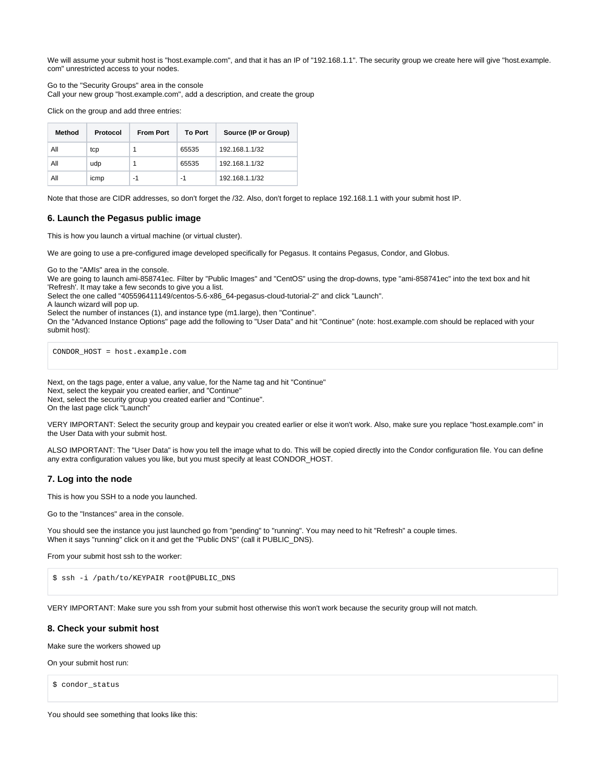We will assume your submit host is "host.example.com", and that it has an IP of "192.168.1.1". The security group we create here will give "host.example. com" unrestricted access to your nodes.

Go to the "Security Groups" area in the console Call your new group "host.example.com", add a description, and create the group

Click on the group and add three entries:

| Method | Protocol | <b>From Port</b> | <b>To Port</b> | Source (IP or Group) |  |  |
|--------|----------|------------------|----------------|----------------------|--|--|
| All    | tcp      |                  | 65535          | 192.168.1.1/32       |  |  |
| All    | udp      |                  | 65535          | 192.168.1.1/32       |  |  |
| All    | icmp     | -1               | -1             | 192.168.1.1/32       |  |  |

Note that those are CIDR addresses, so don't forget the /32. Also, don't forget to replace 192.168.1.1 with your submit host IP.

## **6. Launch the Pegasus public image**

This is how you launch a virtual machine (or virtual cluster).

We are going to use a pre-configured image developed specifically for Pegasus. It contains Pegasus, Condor, and Globus.

Go to the "AMIs" area in the console.

We are going to launch ami-858741ec. Filter by "Public Images" and "CentOS" using the drop-downs, type "ami-858741ec" into the text box and hit 'Refresh'. It may take a few seconds to give you a list.

Select the one called "405596411149/centos-5.6-x86\_64-pegasus-cloud-tutorial-2" and click "Launch".

A launch wizard will pop up.

Select the number of instances (1), and instance type (m1.large), then "Continue".

On the "Advanced Instance Options" page add the following to "User Data" and hit "Continue" (note: host.example.com should be replaced with your submit host):

CONDOR\_HOST = host.example.com

Next, on the tags page, enter a value, any value, for the Name tag and hit "Continue" Next, select the keypair you created earlier, and "Continue" Next, select the security group you created earlier and "Continue". On the last page click "Launch"

VERY IMPORTANT: Select the security group and keypair you created earlier or else it won't work. Also, make sure you replace "host.example.com" in the User Data with your submit host.

ALSO IMPORTANT: The "User Data" is how you tell the image what to do. This will be copied directly into the Condor configuration file. You can define any extra configuration values you like, but you must specify at least CONDOR\_HOST.

## **7. Log into the node**

This is how you SSH to a node you launched.

Go to the "Instances" area in the console.

You should see the instance you just launched go from "pending" to "running". You may need to hit "Refresh" a couple times. When it says "running" click on it and get the "Public DNS" (call it PUBLIC\_DNS).

From your submit host ssh to the worker:

\$ ssh -i /path/to/KEYPAIR root@PUBLIC\_DNS

VERY IMPORTANT: Make sure you ssh from your submit host otherwise this won't work because the security group will not match.

#### **8. Check your submit host**

Make sure the workers showed up

On your submit host run:

\$ condor\_status

You should see something that looks like this: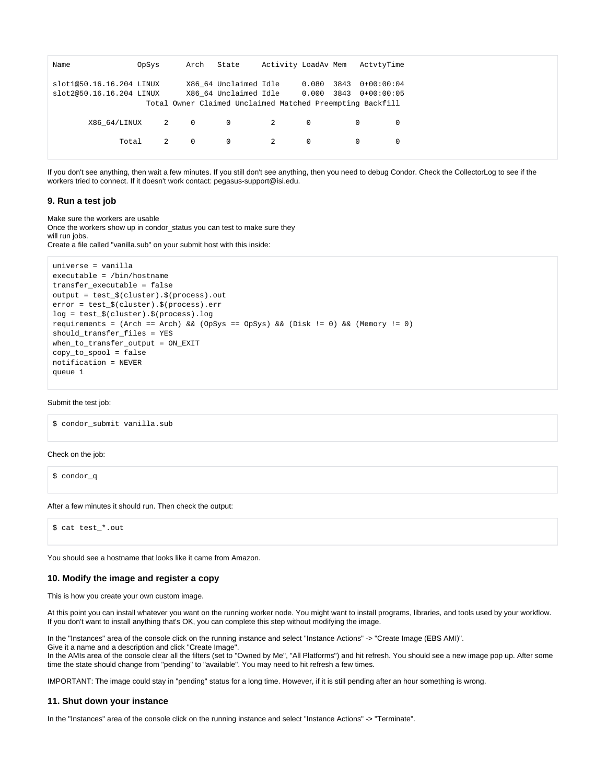| Name                     | OpSys | Arch           | State                 | Activity LoadAv Mem |            |      | ActvtvTime                                                |  |
|--------------------------|-------|----------------|-----------------------|---------------------|------------|------|-----------------------------------------------------------|--|
| slot1@50.16.16.204 LINUX |       |                | X86 64 Unclaimed Idle |                     | 0.080      | 3843 | $0+00:00:04$                                              |  |
| slot2@50.16.16.204 LINUX |       |                | X86 64 Unclaimed Idle |                     | 0.000 3843 |      | $0+00:00:05$                                              |  |
|                          |       |                |                       |                     |            |      | Total Owner Claimed Unclaimed Matched Preempting Backfill |  |
|                          |       |                |                       |                     |            |      |                                                           |  |
| X86 64/LINUX             | 2 0   |                | $\circ$               | 2                   | $\Omega$   |      | $\Omega$<br>0                                             |  |
|                          |       |                |                       |                     |            |      |                                                           |  |
| Total                    | 2     | $\overline{0}$ | $\mathbf{0}$          | 2                   | $\Omega$   |      | $\mathbf 0$<br>$\mathbf 0$                                |  |
|                          |       |                |                       |                     |            |      |                                                           |  |

If you don't see anything, then wait a few minutes. If you still don't see anything, then you need to debug Condor. Check the CollectorLog to see if the workers tried to connect. If it doesn't work contact: pegasus-support@isi.edu.

## **9. Run a test job**

Make sure the workers are usable Once the workers show up in condor\_status you can test to make sure they will run jobs. Create a file called "vanilla.sub" on your submit host with this inside:

```
universe = vanilla
executable = /bin/hostname
transfer_executable = false
output = test_$(cluster).$(process).out
error = test_$(cluster).$(process).err
log = test_$(cluster).$(process).log
requirements = (Arch == Arch) && (OpSys == OpSys) && (Disk != 0) && (Memory != 0)
should_transfer_files = YES
when_to_transfer_output = ON_EXIT
copy_to_spool = false
notification = NEVER
queue 1
```
#### Submit the test job:

\$ condor submit vanilla.sub

#### Check on the job:

\$ condor\_q

#### After a few minutes it should run. Then check the output:

\$ cat test\_\*.out

You should see a hostname that looks like it came from Amazon.

## **10. Modify the image and register a copy**

This is how you create your own custom image.

At this point you can install whatever you want on the running worker node. You might want to install programs, libraries, and tools used by your workflow. If you don't want to install anything that's OK, you can complete this step without modifying the image.

In the "Instances" area of the console click on the running instance and select "Instance Actions" -> "Create Image (EBS AMI)". Give it a name and a description and click "Create Image". In the AMIs area of the console clear all the filters (set to "Owned by Me", "All Platforms") and hit refresh. You should see a new image pop up. After some time the state should change from "pending" to "available". You may need to hit refresh a few times.

IMPORTANT: The image could stay in "pending" status for a long time. However, if it is still pending after an hour something is wrong.

#### **11. Shut down your instance**

In the "Instances" area of the console click on the running instance and select "Instance Actions" -> "Terminate".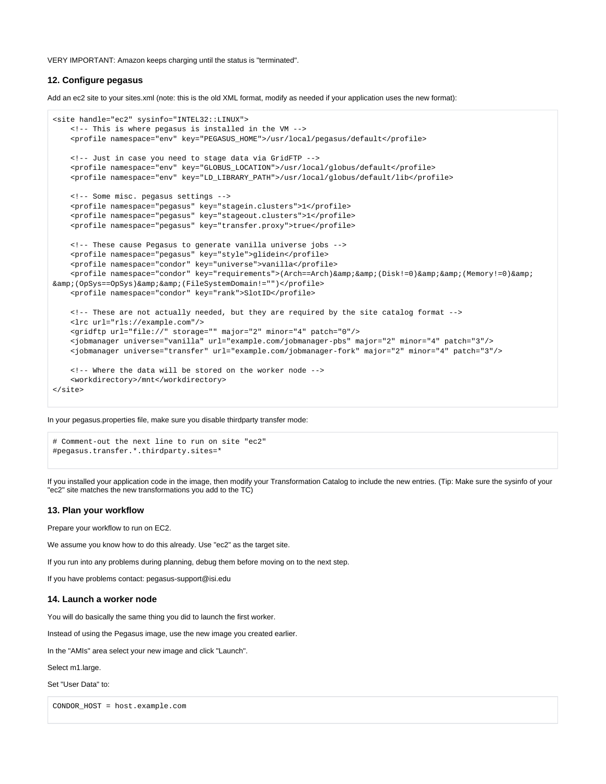VERY IMPORTANT: Amazon keeps charging until the status is "terminated".

## **12. Configure pegasus**

Add an ec2 site to your sites.xml (note: this is the old XML format, modify as needed if your application uses the new format):

```
<site handle="ec2" sysinfo="INTEL32::LINUX">
    <!-- This is where pegasus is installed in the VM -->
    <profile namespace="env" key="PEGASUS_HOME">/usr/local/pegasus/default</profile>
    <!-- Just in case you need to stage data via GridFTP -->
    <profile namespace="env" key="GLOBUS_LOCATION">/usr/local/globus/default</profile>
     <profile namespace="env" key="LD_LIBRARY_PATH">/usr/local/globus/default/lib</profile>
    <!-- Some misc. pegasus settings -->
    <profile namespace="pegasus" key="stagein.clusters">1</profile>
     <profile namespace="pegasus" key="stageout.clusters">1</profile>
    <profile namespace="pegasus" key="transfer.proxy">true</profile>
    <!-- These cause Pegasus to generate vanilla universe jobs -->
    <profile namespace="pegasus" key="style">glidein</profile>
    <profile namespace="condor" key="universe">vanilla</profile>
   <profile namespace="condor" key="requirements">(Arch==Arch)&amp; &amp; (Disk!=0)&amp; &amp; (Memory!=0)&amp;
& (OpSys==OpSys)& & (FileSystemDomain!="")</profile>
    <profile namespace="condor" key="rank">SlotID</profile>
    <!-- These are not actually needed, but they are required by the site catalog format -->
    <lrc url="rls://example.com"/>
    <gridftp url="file://" storage="" major="2" minor="4" patch="0"/>
    <jobmanager universe="vanilla" url="example.com/jobmanager-pbs" major="2" minor="4" patch="3"/>
    <jobmanager universe="transfer" url="example.com/jobmanager-fork" major="2" minor="4" patch="3"/>
    <!-- Where the data will be stored on the worker node -->
    <workdirectory>/mnt</workdirectory>
</site>
```
In your pegasus.properties file, make sure you disable thirdparty transfer mode:

```
# Comment-out the next line to run on site "ec2"
#pegasus.transfer.*.thirdparty.sites=*
```
If you installed your application code in the image, then modify your Transformation Catalog to include the new entries. (Tip: Make sure the sysinfo of your "ec2" site matches the new transformations you add to the TC)

## **13. Plan your workflow**

Prepare your workflow to run on EC2.

We assume you know how to do this already. Use "ec2" as the target site.

If you run into any problems during planning, debug them before moving on to the next step.

If you have problems contact: pegasus-support@isi.edu

## **14. Launch a worker node**

You will do basically the same thing you did to launch the first worker.

Instead of using the Pegasus image, use the new image you created earlier.

In the "AMIs" area select your new image and click "Launch".

Select m1.large.

Set "User Data" to:

CONDOR\_HOST = host.example.com